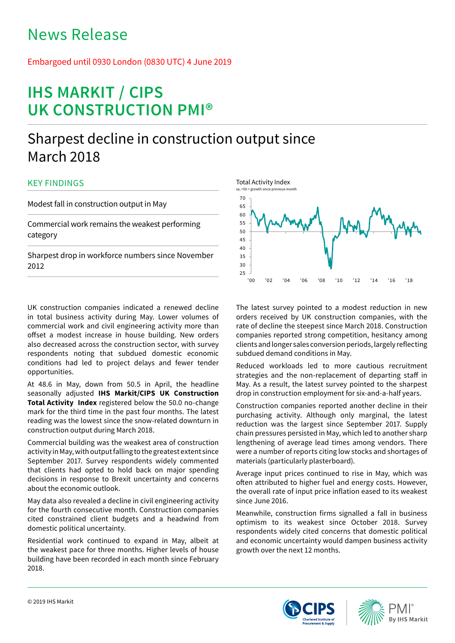# News Release

## Embargoed until 0930 London (0830 UTC) 4 June 2019

# **IHS MARKIT / CIPS UK CONSTRUCTION PMI®**

## Sharpest decline in construction output since March 2018

## KEY FINDINGS

Modest fall in construction output in May

Commercial work remains the weakest performing category

Sharpest drop in workforce numbers since November 2012

UK construction companies indicated a renewed decline in total business activity during May. Lower volumes of commercial work and civil engineering activity more than offset a modest increase in house building. New orders also decreased across the construction sector, with survey respondents noting that subdued domestic economic conditions had led to project delays and fewer tender opportunities.

At 48.6 in May, down from 50.5 in April, the headline seasonally adjusted **IHS Markit/CIPS UK Construction Total Activity Index** registered below the 50.0 no-change mark for the third time in the past four months. The latest reading was the lowest since the snow-related downturn in construction output during March 2018.

Commercial building was the weakest area of construction activity in May, with output falling to the greatest extent since September 2017. Survey respondents widely commented that clients had opted to hold back on major spending decisions in response to Brexit uncertainty and concerns about the economic outlook.

May data also revealed a decline in civil engineering activity for the fourth consecutive month. Construction companies cited constrained client budgets and a headwind from domestic political uncertainty.

Residential work continued to expand in May, albeit at the weakest pace for three months. Higher levels of house building have been recorded in each month since February 2018.



The latest survey pointed to a modest reduction in new orders received by UK construction companies, with the rate of decline the steepest since March 2018. Construction companies reported strong competition, hesitancy among clients and longer sales conversion periods, largely reflecting subdued demand conditions in May.

Reduced workloads led to more cautious recruitment strategies and the non-replacement of departing staff in May. As a result, the latest survey pointed to the sharpest drop in construction employment for six-and-a-half years.

Construction companies reported another decline in their purchasing activity. Although only marginal, the latest reduction was the largest since September 2017. Supply chain pressures persisted in May, which led to another sharp lengthening of average lead times among vendors. There were a number of reports citing low stocks and shortages of materials (particularly plasterboard).

Average input prices continued to rise in May, which was often attributed to higher fuel and energy costs. However, the overall rate of input price inflation eased to its weakest since June 2016.

Meanwhile, construction firms signalled a fall in business optimism to its weakest since October 2018. Survey respondents widely cited concerns that domestic political and economic uncertainty would dampen business activity growth over the next 12 months.



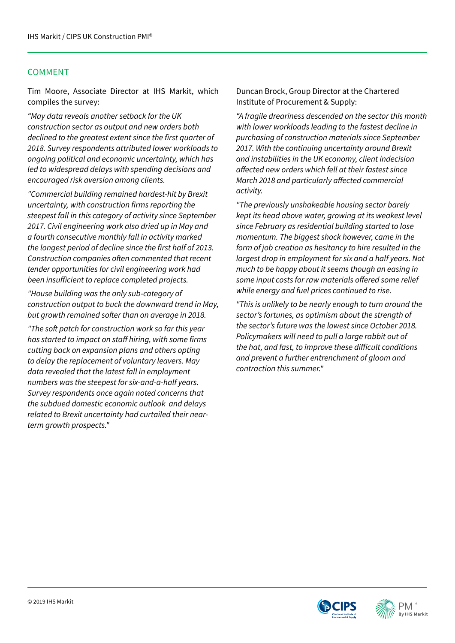## COMMENT

Tim Moore, Associate Director at IHS Markit, which compiles the survey:

*"May data reveals another setback for the UK construction sector as output and new orders both*  declined to the greatest extent since the first quarter of *2018. Survey respondents attributed lower workloads to ongoing political and economic uncertainty, which has led to widespread delays with spending decisions and encouraged risk aversion among clients.* 

*"Commercial building remained hardest-hit by Brexit*  uncertainty, with construction firms reporting the *steepest fall in this category of activity since September 2017. Civil engineering work also dried up in May and a fourth consecutive monthly fall in activity marked*  the longest period of decline since the first half of 2013. Construction companies often commented that recent *tender opportunities for civil engineering work had*  been insufficient to replace completed projects.

*"House building was the only sub-category of construction output to buck the downward trend in May,*  but growth remained softer than on average in 2018.

"The soft patch for construction work so far this year has started to impact on staff hiring, with some firms *cutting back on expansion plans and others opting to delay the replacement of voluntary leavers. May data revealed that the latest fall in employment numbers was the steepest for six-and-a-half years. Survey respondents once again noted concerns that the subdued domestic economic outlook and delays related to Brexit uncertainty had curtailed their nearterm growth prospects."* 

Duncan Brock, Group Director at the Chartered Institute of Procurement & Supply:

*"A fragile dreariness descended on the sector this month with lower workloads leading to the fastest decline in purchasing of construction materials since September 2017. With the continuing uncertainty around Brexit and instabilities in the UK economy, client indecision*  affected new orders which fell at their fastest since March 2018 and particularly affected commercial *activity.*

*"The previously unshakeable housing sector barely kept its head above water, growing at its weakest level since February as residential building started to lose momentum. The biggest shock however, came in the*  form of job creation as hesitancy to hire resulted in the *largest drop in employment for six and a half years. Not much to be happy about it seems though an easing in*  some input costs for raw materials offered some relief *while energy and fuel prices continued to rise.* 

*"This is unlikely to be nearly enough to turn around the sector's fortunes, as optimism about the strength of the sector's future was the lowest since October 2018. Policymakers will need to pull a large rabbit out of*  the hat, and fast, to improve these difficult conditions *and prevent a further entrenchment of gloom and contraction this summer."*